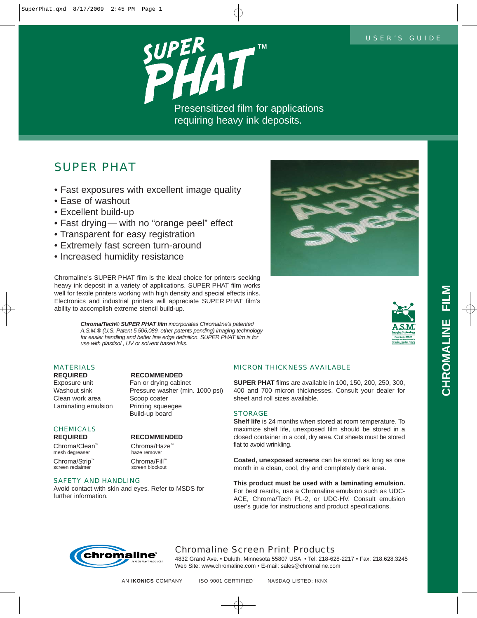

# *SUPER PHAT*

- Fast exposures with excellent image quality
- Ease of washout
- Excellent build-up
- Fast drying— with no "orange peel" effect
- Transparent for easy registration
- Extremely fast screen turn-around
- Increased humidity resistance

Chromaline's SUPER PHAT film is the ideal choice for printers seeking heavy ink deposit in a variety of applications. SUPER PHAT film works well for textile printers working with high density and special effects inks. Electronics and industrial printers will appreciate SUPER PHAT film's ability to accomplish extreme stencil build-up.

> *Chroma/Tech® SUPER PHAT film incorporates Chromaline's patented A.S.M.® (U.S. Patent 5,506,089, other patents pending) imaging technology for easier handling and better line edge definition. SUPER PHAT film is for use with plastisol , UV or solvent based inks.*

## *MATERIALS*

Exposure unit Fan or drying cabinet Clean work area Scoop coater Laminating emulsion Printing squeegee

# *CHEMICALS*

Chroma/Clean™ Chroma/Haze<sup>™</sup><br>mesh degreaser haze remover mesh degreaser

Chroma/Strip™ Chroma/Fill™<br>
Screen reclaimer screen blockout screen reclaimer

## **REQUIRED RECOMMENDED**

Washout sink Pressure washer (min. 1000 psi) Build-up board

## **REQUIRED RECOMMENDED**

### *SAFETY AND HANDLING*

Avoid contact with skin and eyes. Refer to MSDS for further information.





## *MICRON THICKNESS AVAILABLE*

**SUPER PHAT** films are available in 100, 150, 200, 250, 300, 400 and 700 micron thicknesses. Consult your dealer for sheet and roll sizes available.

### *STORAGE*

**Shelf life** is 24 months when stored at room temperature. To maximize shelf life, unexposed film should be stored in a closed container in a cool, dry area. Cut sheets must be stored flat to avoid wrinkling.

**Coated, unexposed screens** can be stored as long as one month in a clean, cool, dry and completely dark area.

**This product must be used with a laminating emulsion.** For best results, use a Chromaline emulsion such as UDC-ACE, Chroma/Tech PL-2, or UDC-HV. Consult emulsion user's guide for instructions and product specifications.



## *Chromaline Screen Print Products*

4832 Grand Ave. • Duluth, Minnesota 55807 USA • Tel: 218-628-2217 • Fax: 218.628.3245 Web Site: www.chromaline.com • E-mail: sales@chromaline.com